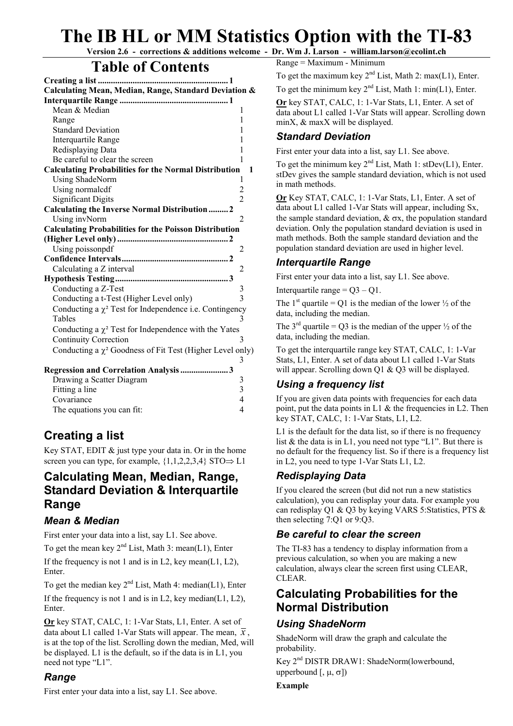# **The IB HL or MM Statistics Option with the TI-83**

**Version 2.6 - corrections & additions welcome - Dr. Wm J. Larson - william.larson@ecolint.ch** 

# **Table of Contents**

| Calculating Mean, Median, Range, Standard Deviation &             |                |  |  |
|-------------------------------------------------------------------|----------------|--|--|
|                                                                   |                |  |  |
| Mean & Median                                                     | 1              |  |  |
| Range                                                             | 1              |  |  |
| <b>Standard Deviation</b>                                         | 1              |  |  |
| Interquartile Range                                               | 1              |  |  |
| Redisplaying Data                                                 | 1              |  |  |
| Be careful to clear the screen                                    | 1              |  |  |
| <b>Calculating Probabilities for the Normal Distribution</b><br>1 |                |  |  |
| Using ShadeNorm                                                   | 1              |  |  |
| Using normalcdf                                                   | $\overline{c}$ |  |  |
| <b>Significant Digits</b>                                         | $\overline{2}$ |  |  |
| Calculating the Inverse Normal Distribution  2                    |                |  |  |
| Using invNorm                                                     | 2              |  |  |
| <b>Calculating Probabilities for the Poisson Distribution</b>     |                |  |  |
|                                                                   |                |  |  |
| Using poissonpdf                                                  | 2              |  |  |
|                                                                   |                |  |  |
| Calculating a Z interval                                          | 2              |  |  |
|                                                                   |                |  |  |
| Conducting a Z-Test                                               | 3              |  |  |
| Conducting a t-Test (Higher Level only)                           | $\overline{3}$ |  |  |
| Conducting a $\chi^2$ Test for Independence i.e. Contingency      |                |  |  |
| Tables                                                            | 3              |  |  |
| Conducting a $\chi^2$ Test for Independence with the Yates        |                |  |  |
| <b>Continuity Correction</b>                                      | 3              |  |  |
| Conducting a $\chi^2$ Goodness of Fit Test (Higher Level only)    |                |  |  |
|                                                                   | 3              |  |  |
| Regression and Correlation Analysis 3                             |                |  |  |
| Drawing a Scatter Diagram                                         | $\mathfrak{Z}$ |  |  |
| Fitting a line                                                    | $\overline{3}$ |  |  |
| Covariance                                                        | $\overline{4}$ |  |  |
| The equations you can fit:                                        | $\overline{4}$ |  |  |

# **Creating a list**

Key STAT, EDIT & just type your data in. Or in the home screen you can type, for example,  $\{1,1,2,2,3,4\}$  STO $\Rightarrow$  L1

# **Calculating Mean, Median, Range, Standard Deviation & Interquartile Range**

### *Mean & Median*

First enter your data into a list, say L1. See above.

To get the mean key  $2<sup>nd</sup>$  List, Math 3: mean(L1), Enter

If the frequency is not 1 and is in L2, key mean(L1, L2), Enter.

To get the median key  $2^{nd}$  List, Math 4: median(L1), Enter

If the frequency is not 1 and is in L2, key median( $L1$ ,  $L2$ ), Enter.

**Or** key STAT, CALC, 1: 1-Var Stats, L1, Enter. A set of data about L1 called 1-Var Stats will appear. The mean,  $\bar{x}$ , is at the top of the list. Scrolling down the median, Med, will be displayed. L1 is the default, so if the data is in L1, you need not type "L1".

# *Range*

First enter your data into a list, say L1. See above.

Range = Maximum - Minimum

To get the maximum key  $2<sup>nd</sup>$  List, Math 2: max(L1), Enter.

To get the minimum key  $2<sup>nd</sup>$  List, Math 1: min(L1), Enter.

**Or** key STAT, CALC, 1: 1-Var Stats, L1, Enter. A set of data about L1 called 1-Var Stats will appear. Scrolling down minX, & maxX will be displayed.

### *Standard Deviation*

First enter your data into a list, say L1. See above.

To get the minimum key  $2^{nd}$  List, Math 1: stDev(L1), Enter. stDev gives the sample standard deviation, which is not used in math methods.

**Or** Key STAT, CALC, 1: 1-Var Stats, L1, Enter. A set of data about L1 called 1-Var Stats will appear, including Sx, the sample standard deviation,  $\& \sigma x$ , the population standard deviation. Only the population standard deviation is used in math methods. Both the sample standard deviation and the population standard deviation are used in higher level.

# *Interquartile Range*

First enter your data into a list, say L1. See above.

Interquartile range  $=$   $O3 - O1$ .

The 1<sup>st</sup> quartile = Q1 is the median of the lower  $\frac{1}{2}$  of the data, including the median.

The  $3<sup>rd</sup>$  quartile = Q3 is the median of the upper  $\frac{1}{2}$  of the data, including the median.

To get the interquartile range key STAT, CALC, 1: 1-Var Stats, L1, Enter. A set of data about L1 called 1-Var Stats will appear. Scrolling down Q1 & Q3 will be displayed.

# *Using a frequency list*

If you are given data points with frequencies for each data point, put the data points in L1 & the frequencies in L2. Then key STAT, CALC, 1: 1-Var Stats, L1, L2.

L1 is the default for the data list, so if there is no frequency list  $\&$  the data is in L1, you need not type "L1". But there is no default for the frequency list. So if there is a frequency list in L2, you need to type 1-Var Stats L1, L2.

# *Redisplaying Data*

If you cleared the screen (but did not run a new statistics calculation), you can redisplay your data. For example you can redisplay Q1 & Q3 by keying VARS 5:Statistics, PTS & then selecting 7:Q1 or 9:Q3.

# *Be careful to clear the screen*

The TI-83 has a tendency to display information from a previous calculation, so when you are making a new calculation, always clear the screen first using CLEAR, CLEAR.

# **Calculating Probabilities for the Normal Distribution**

# *Using ShadeNorm*

ShadeNorm will draw the graph and calculate the probability.

Key 2nd DISTR DRAW1: ShadeNorm(lowerbound, upperbound [, μ, σ])

#### **Example**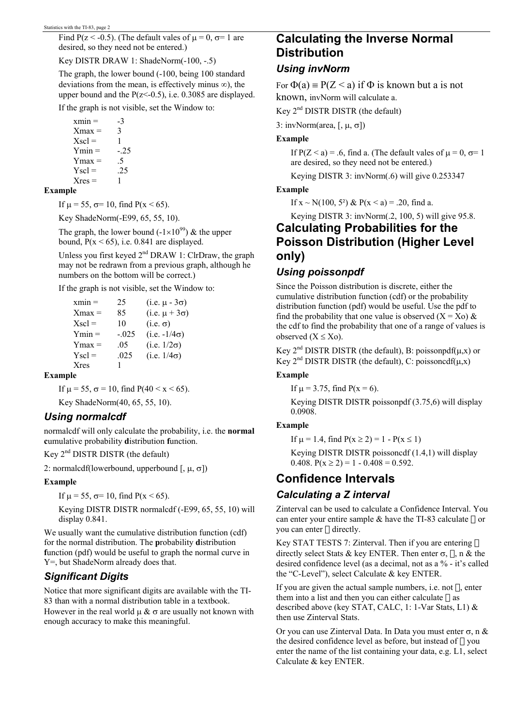Find P(z < -0.5). (The default vales of  $\mu$  = 0,  $\sigma$ = 1 are desired, so they need not be entered.)

Key DISTR DRAW 1: ShadeNorm(-100, -.5)

The graph, the lower bound (-100, being 100 standard deviations from the mean, is effectively minus  $∞$ ), the upper bound and the  $P(z<0.5)$ , i.e. 0.3085 are displayed.

If the graph is not visible, set the Window to:

 $xmin = -3$  $Xmax = 3$  $X\text{ }$ scl = 1  $Ymin = -0.25$  $Y$ max = .5  $Y\text{ }$ scl = .25  $Xres = 1$ 

#### **Example**

If  $\mu$  = 55,  $\sigma$ = 10, find P(x < 65).

Key ShadeNorm(-E99, 65, 55, 10).

The graph, the lower bound  $(-1\times10^{99})$  & the upper bound,  $P(x \le 65)$ , i.e. 0.841 are displayed.

Unless you first keyed  $2<sup>nd</sup> DRAW 1$ : ClrDraw, the graph may not be redrawn from a previous graph, although he numbers on the bottom will be correct.)

If the graph is not visible, set the Window to:

| $xmin =$             | 25      | (i.e. $\mu - 3\sigma$ ) |
|----------------------|---------|-------------------------|
| Xmax =               | 85      | (i.e. $\mu + 3\sigma$ ) |
| $X\textnormal{sc}$ = | 10      | $(i.e. \sigma)$         |
| $Ymin =$             | $-.025$ | $(i.e. -1/4\sigma)$     |
| $Y$ max =            | .05     | (i.e. $1/2\sigma$ )     |
| $Y\text{sc}$ =       | .025    | (i.e. $1/4\sigma$ )     |
| Xres                 |         |                         |

#### **Example**

If  $\mu = 55$ ,  $\sigma = 10$ , find  $P(40 \le x \le 65)$ .

Key ShadeNorm(40, 65, 55, 10).

### *Using normalcdf*

normalcdf will only calculate the probability, i.e. the **normal c**umulative probability **d**istribution **f**unction.

Key 2nd DISTR DISTR (the default)

2: normalcdf(lowerbound, upperbound  $[$ ,  $\mu$ ,  $\sigma$ ])

#### **Example**

If  $\mu$  = 55,  $\sigma$ = 10, find P(x < 65).

Keying DISTR DISTR normalcdf (-E99, 65, 55, 10) will display 0.841.

We usually want the cumulative distribution function (cdf) for the normal distribution. The **p**robability **d**istribution **f**unction (pdf) would be useful to graph the normal curve in Y=, but ShadeNorm already does that.

### *Significant Digits*

Notice that more significant digits are available with the TI-83 than with a normal distribution table in a textbook. However in the real world  $\mu \& \sigma$  are usually not known with enough accuracy to make this meaningful.

# **Calculating the Inverse Normal Distribution**

### *Using invNorm*

For  $\Phi(a) = P(Z \le a)$  if  $\Phi$  is known but a is not known, invNorm will calculate a.

Key  $2<sup>nd</sup>$  DISTR DISTR (the default)

3: invNorm(area, [,  $\mu$ ,  $\sigma$ ])

#### **Example**

If  $P(Z \le a) = .6$ , find a. (The default vales of  $\mu = 0$ ,  $\sigma = 1$ ) are desired, so they need not be entered.)

Keying DISTR 3: invNorm(.6) will give 0.253347

#### **Example**

If  $x \sim N(100, 5^2)$  &  $P(x \le a) = .20$ , find a.

Keying DISTR 3: invNorm(.2, 100, 5) will give 95.8.

# **Calculating Probabilities for the Poisson Distribution (Higher Level only)**

### *Using poissonpdf*

Since the Poisson distribution is discrete, either the cumulative distribution function (cdf) or the probability distribution function (pdf) would be useful. Use the pdf to find the probability that one value is observed  $(X = X_0)$  & the cdf to find the probability that one of a range of values is observed  $(X \le X_0)$ .

Key  $2^{nd}$  DISTR DISTR (the default), B: poissonpdf( $\mu$ ,x) or Key  $2^{nd}$  DISTR DISTR (the default), C: poissoncdf( $\mu$ ,x)

#### **Example**

If  $\mu = 3.75$ , find  $P(x = 6)$ .

Keying DISTR DISTR poissonpdf (3.75,6) will display 0.0908.

#### **Example**

If  $\mu = 1.4$ , find  $P(x \ge 2) = 1 - P(x \le 1)$ 

Keying DISTR DISTR poissoncdf (1.4,1) will display 0.408.  $P(x \ge 2) = 1 - 0.408 = 0.592$ .

# **Confidence Intervals**

### *Calculating a Z interval*

Zinterval can be used to calculate a Confidence Interval. You can enter your entire sample  $\&$  have the TI-83 calculate  $\Box$  or you can enter  $\Box$  directly.

Key STAT TESTS 7: Zinterval. Then if you are entering  $\Box$ directly select Stats & key ENTER. Then enter  $\sigma$ ,  $\Box$ , n & the desired confidence level (as a decimal, not as a % - it's called the "C-Level"), select Calculate & key ENTER.

If you are given the actual sample numbers, i.e. not  $\Box$ , enter them into a list and then you can either calculate  $\Box$  as described above (key STAT, CALC, 1: 1-Var Stats, L1) & then use Zinterval Stats.

Or you can use Zinterval Data. In Data you must enter σ, n & the desired confidence level as before, but instead of  $\Box$  you enter the name of the list containing your data, e.g. L1, select Calculate & key ENTER.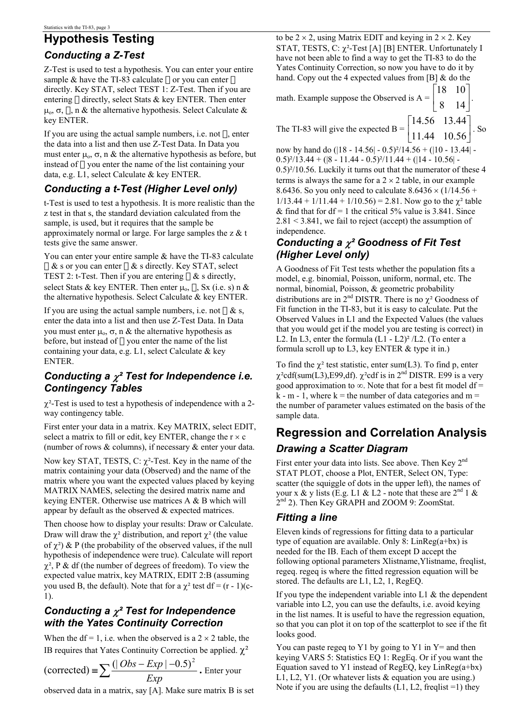# **Hypothesis Testing**

### *Conducting a Z-Test*

Z-Test is used to test a hypothesis. You can enter your entire sample & have the TI-83 calculate  $\Box$  or you can enter  $\Box$ directly. Key STAT, select TEST 1: Z-Test. Then if you are entering  $\Box$  directly, select Stats & key ENTER. Then enter  $\mu_0$ , σ,  $\Box$ , n & the alternative hypothesis. Select Calculate & key ENTER.

If you are using the actual sample numbers, i.e. not  $\Box$ , enter the data into a list and then use Z-Test Data. In Data you must enter  $\mu_0$ ,  $\sigma$ , n & the alternative hypothesis as before, but instead of  $\Box$  you enter the name of the list containing your data, e.g. L1, select Calculate & key ENTER.

# *Conducting a t-Test (Higher Level only)*

t-Test is used to test a hypothesis. It is more realistic than the z test in that s, the standard deviation calculated from the sample, is used, but it requires that the sample be approximately normal or large. For large samples the  $z \& t$ tests give the same answer.

You can enter your entire sample & have the TI-83 calculate  $\Box$  & s or you can enter  $\Box$  & s directly. Key STAT, select TEST 2: t-Test. Then if you are entering  $\Box$  & s directly, select Stats & key ENTER. Then enter  $\mu_0$ ,  $\Box$ , Sx (i.e. s) n & the alternative hypothesis. Select Calculate & key ENTER.

If you are using the actual sample numbers, i.e. not  $\Box$  & s, enter the data into a list and then use Z-Test Data. In Data you must enter  $\mu_0$ , σ, n & the alternative hypothesis as before, but instead of  $\Box$  you enter the name of the list containing your data, e.g. L1, select Calculate & key ENTER.

### *Conducting a* χ*² Test for Independence i.e. Contingency Tables*

 $\chi^2$ -Test is used to test a hypothesis of independence with a 2way contingency table.

First enter your data in a matrix. Key MATRIX, select EDIT, select a matrix to fill or edit, key ENTER, change the  $r \times c$ (number of rows & columns), if necessary & enter your data.

Now key STAT, TESTS, C:  $\chi^2$ -Test. Key in the name of the matrix containing your data (Observed) and the name of the matrix where you want the expected values placed by keying MATRIX NAMES, selecting the desired matrix name and keying ENTER. Otherwise use matrices A & B which will appear by default as the observed & expected matrices.

Then choose how to display your results: Draw or Calculate. Draw will draw the  $\chi^2$  distribution, and report  $\chi^2$  (the value of  $\chi^2$ ) & P (the probability of the observed values, if the null hypothesis of independence were true). Calculate will report  $\chi^2$ , P & df (the number of degrees of freedom). To view the expected value matrix, key MATRIX, EDIT 2:B (assuming you used B, the default). Note that for a  $\chi^2$  test df = (r - 1)(c-1).

### *Conducting a* χ*² Test for Independence with the Yates Continuity Correction*

When the df = 1, i.e. when the observed is a  $2 \times 2$  table, the IB requires that Yates Continuity Correction be applied.  $χ²$ 

 $\text{(corrected)} = \sum \frac{(|Obs - Exp| - E}{Exp}$  $\frac{(|\textit{Obs} - \textit{Exp}| - 0.5)^2}{\sum_{r=1}^{12}}$  **.** Enter your

observed data in a matrix, say [A]. Make sure matrix B is set

to be  $2 \times 2$ , using Matrix EDIT and keying in  $2 \times 2$ . Key STAT, TESTS, C:  $\chi^2$ -Test [A] [B] ENTER. Unfortunately I have not been able to find a way to get the TI-83 to do the Yates Continuity Correction, so now you have to do it by hand. Copy out the 4 expected values from  $[B]$  & do the

math. Example suppose the Observed is  $A = \begin{bmatrix} 2 & 1 \end{bmatrix}$  $\rfloor$  $\begin{vmatrix} 18 & 10 \\ 8 & 14 \end{vmatrix}$ L  $\mathbf{r}$ 8 14  $\begin{bmatrix} 18 & 10 \\ 0 & 11 \end{bmatrix}$ .

The TI-83 will give the expected B =  $\begin{bmatrix} 1 & 1 & 4 & 10 & 56 \end{bmatrix}$  $\rfloor$  $\begin{bmatrix} 14.56 & 13.44 \\ 11.44 & 10.56 \end{bmatrix}$ L  $\overline{ }$ 11.44 10.56 14.56 13.44 . So

now by hand do (|18 - 14.56| - 0.5)²/14.56 + (|10 - 13.44| -  $0.5$ <sup>2</sup>/13.44 + ( $|8 - 11.44 - 0.5$ <sup>2</sup>/11.44 + ( $|14 - 10.56|$  -0.5)²/10.56. Luckily it turns out that the numerator of these 4 terms is always the same for a  $2 \times 2$  table, in our example 8.6436. So you only need to calculate  $8.6436 \times (1/14.56 +$  $1/13.44 + 1/11.44 + 1/10.56 = 2.81$ . Now go to the  $\chi^2$  table & find that for  $df = 1$  the critical 5% value is 3.841. Since 2.81 < 3.841, we fail to reject (accept) the assumption of independence.

### *Conducting a* χ*² Goodness of Fit Test (Higher Level only)*

A Goodness of Fit Test tests whether the population fits a model, e.g. binomial, Poisson, uniform, normal, etc. The normal, binomial, Poisson, & geometric probability distributions are in  $2^{nd}$  DISTR. There is no  $\chi^2$  Goodness of Fit function in the TI-83, but it is easy to calculate. Put the Observed Values in L1 and the Expected Values (the values that you would get if the model you are testing is correct) in L2. In L3, enter the formula  $(L1 - L2)^2 / L2$ . (To enter a formula scroll up to L3, key ENTER & type it in.)

To find the  $\chi^2$  test statistic, enter sum(L3). To find p, enter  $χ²cdf(sum(L3),E99,df)$ .  $χ²cdf$  is in 2<sup>nd</sup> DISTR. E99 is a very good approximation to  $\infty$ . Note that for a best fit model df =  $k - m - 1$ , where  $k =$  the number of data categories and  $m =$ the number of parameter values estimated on the basis of the sample data.

# **Regression and Correlation Analysis**  *Drawing a Scatter Diagram*

First enter your data into lists. See above. Then Key 2<sup>nd</sup> STAT PLOT, choose a Plot, ENTER, Select ON, Type: scatter (the squiggle of dots in the upper left), the names of your x & y lists (E.g. L1 & L2 - note that these are  $2^{nd}$  1 & 2<sup>nd</sup> 2). Then Key GRAPH and ZOOM 9: ZoomStat.

# *Fitting a line*

Eleven kinds of regressions for fitting data to a particular type of equation are available. Only 8:  $LinReg(a+bx)$  is needed for the IB. Each of them except D accept the following optional parameters Xlistname, Ylistname, freqlist, regeq. regeq is where the fitted regression equation will be stored. The defaults are L1, L2, 1, RegEQ.

If you type the independent variable into  $L1 \&$  the dependent variable into L2, you can use the defaults, i.e. avoid keying in the list names. It is useful to have the regression equation, so that you can plot it on top of the scatterplot to see if the fit looks good.

You can paste regeq to Y1 by going to Y1 in  $Y=$  and then keying VARS 5: Statistics EQ 1: RegEq. Or if you want the Equation saved to Y1 instead of RegEQ, key  $LinReg(a+bx)$ L1, L2, Y1. (Or whatever lists & equation you are using.) Note if you are using the defaults  $(L1, L2, \text{freqlist} = 1)$  they